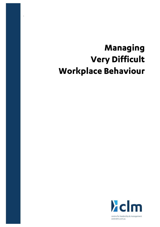# Managing **Very Difficult Workplace Behaviour**

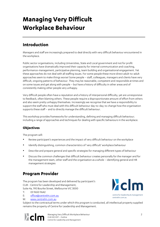## **Managing Very Difficult Workplace Behaviour**

## **Introduction**

Managers and staff are increasingly prepared to deal directly with very difficult behaviour encountered in the workplace.

Public sector organisations, including Universities, State and Local government and not for profit organisations have dramatically improved their capacity for internal communication and coaching, performance-management, participative planning, team building and organisational engagement. Yet these approaches do not deal with all staffing issues. For some people these more direct adult-to-adult approaches seem to make things worse! Some people – staff, colleagues, managers and clients have very difficult, ongoing patterns of behaviour. They may be reasonable, competent and responsible at times and on some issues and get along with people – but have a history of difficulty in other areas and of consistently making other people very unhappy.

Very difficult people often have a reputation and a history of interpersonal difficulty, yet are unresponsive to feedback, often blaming others. These people require a disproportionate amount of effort from others and also seem pretty unhappy themselves. Increasingly we recognise that we have a responsibility to support the staff who must deal with this difficult behaviour day-to-day; to change how the organisation supports these staff – and to directly manage the difficult behaviour.

This workshop provides frameworks for understanding, defining and managing difficult behaviour; including a range of approaches and techniques for dealing with specific behaviours in the workplace.

#### **Objectives**

The program will:

- Review participant's experiences and the impact of very difficult behaviour on the workplace
- Identify distinguishing, common characteristics of 'very difficult' workplace behaviour
- Describe and prepare general and specific strategies for managing different types of behaviour
- Discuss the common challenges that difficult behaviour creates personally for the manager and for the management team, other staff and the organisation as a whole – identifying general and HR management strategies

### **Program Provider**

The program has been developed and delivered by participant's CLM - Centre for Leadership and Management, Suite 4a, 190 Bourke Street, Melbourne VIC 3000

T: 03 9650 9642

- E: office@centrelm.com.au
- W: www.centrelm.com.au

Subject to the contractual terms under which this program is conducted, all intellectual property supplied remains the property of Centre for Leadership and Management.



Managing Very Difficult Workplace Behaviour 2 CLM 022 0317 – Outline Centre for Leadership and Management